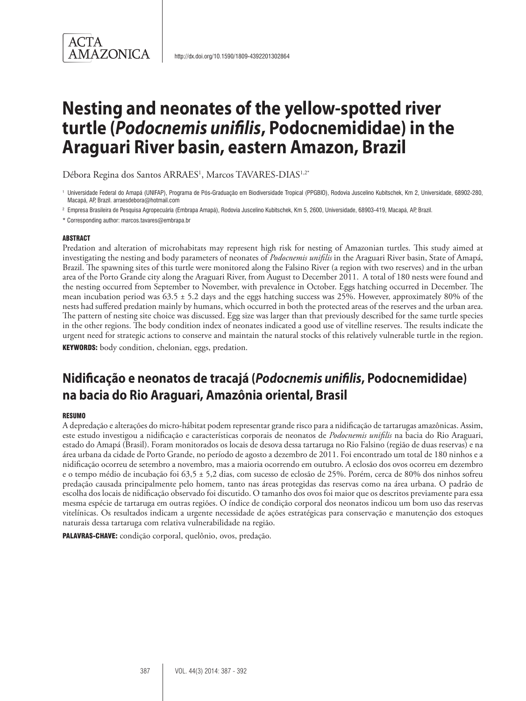# **Nesting and neonates of the yellow-spotted river turtle (***Podocnemis unifilis***, Podocnemididae) in the Araguari River basin, eastern Amazon, Brazil**

Débora Regina dos Santos ARRAES<sup>1</sup>, Marcos TAVARES-DIAS<sup>1,2</sup>'

<sup>2</sup> Empresa Brasileira de Pesquisa Agropecuária (Embrapa Amapá), Rodovia Juscelino Kubitschek, Km 5, 2600, Universidade, 68903-419, Macapá, AP, Brazil.

\* Corresponding author: marcos.tavares@embrapa.br

#### **ABSTRACT**

Predation and alteration of microhabitats may represent high risk for nesting of Amazonian turtles. This study aimed at investigating the nesting and body parameters of neonates of *Podocnemis unifilis* in the Araguari River basin, State of Amapá, Brazil. The spawning sites of this turtle were monitored along the Falsino River (a region with two reserves) and in the urban area of the Porto Grande city along the Araguari River, from August to December 2011. A total of 180 nests were found and the nesting occurred from September to November, with prevalence in October. Eggs hatching occurred in December. The mean incubation period was 63.5 ± 5.2 days and the eggs hatching success was 25%. However, approximately 80% of the nests had suffered predation mainly by humans, which occurred in both the protected areas of the reserves and the urban area. The pattern of nesting site choice was discussed. Egg size was larger than that previously described for the same turtle species in the other regions. The body condition index of neonates indicated a good use of vitelline reserves. The results indicate the urgent need for strategic actions to conserve and maintain the natural stocks of this relatively vulnerable turtle in the region. KEYWORDS: body condition, chelonian, eggs, predation.

# **Nidificação e neonatos de tracajá (***Podocnemis unifilis***, Podocnemididae) na bacia do Rio Araguari, Amazônia oriental, Brasil**

#### **RESUMO**

A depredação e alterações do micro-hábitat podem representar grande risco para a nidificação de tartarugas amazônicas. Assim, este estudo investigou a nidificação e características corporais de neonatos de *Podocnemis unifilis* na bacia do Rio Araguari, estado do Amapá (Brasil). Foram monitorados os locais de desova dessa tartaruga no Rio Falsino (região de duas reservas) e na área urbana da cidade de Porto Grande, no período de agosto a dezembro de 2011. Foi encontrado um total de 180 ninhos e a nidificação ocorreu de setembro a novembro, mas a maioria ocorrendo em outubro. A eclosão dos ovos ocorreu em dezembro e o tempo médio de incubação foi 63,5 ± 5,2 dias, com sucesso de eclosão de 25%. Porém, cerca de 80% dos ninhos sofreu predação causada principalmente pelo homem, tanto nas áreas protegidas das reservas como na área urbana. O padrão de escolha dos locais de nidificação observado foi discutido. O tamanho dos ovos foi maior que os descritos previamente para essa mesma espécie de tartaruga em outras regiões. O índice de condição corporal dos neonatos indicou um bom uso das reservas vitelínicas. Os resultados indicam a urgente necessidade de ações estratégicas para conservação e manutenção dos estoques naturais dessa tartaruga com relativa vulnerabilidade na região.

PALAVRAS-CHAVE: condição corporal, quelônio, ovos, predação.

<sup>1</sup> Universidade Federal do Amapá (UNIFAP), Programa de Pós-Graduação em Biodiversidade Tropical (PPGBIO), Rodovia Juscelino Kubitschek, Km 2, Universidade, 68902-280, Macapá, AP, Brazil. arraesdebora@hotmail.com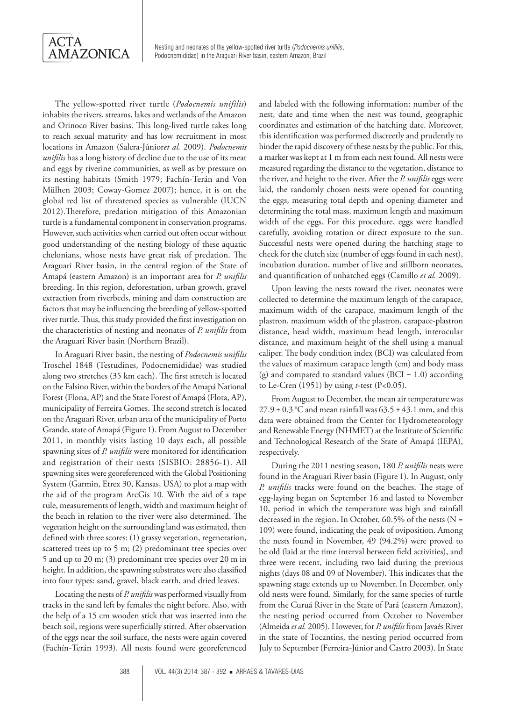

The yellow-spotted river turtle (*Podocnemis unifilis*) inhabits the rivers, streams, lakes and wetlands of the Amazon and Orinoco River basins. This long-lived turtle takes long to reach sexual maturity and has low recruitment in most locations in Amazon (Salera-Júnior*et al.* 2009). *Podocnemis unifilis* has a long history of decline due to the use of its meat and eggs by riverine communities, as well as by pressure on its nesting habitats (Smith 1979; Fachín-Terán and Von Mülhen 2003; Coway-Gomez 2007); hence, it is on the global red list of threatened species as vulnerable (IUCN 2012).Therefore, predation mitigation of this Amazonian turtle is a fundamental component in conservation programs. However, such activities when carried out often occur without good understanding of the nesting biology of these aquatic chelonians, whose nests have great risk of predation. The Araguari River basin, in the central region of the State of Amapá (eastern Amazon) is an important area for *P. unifilis*  breeding. In this region, deforestation, urban growth, gravel extraction from riverbeds, mining and dam construction are factors that may be influencing the breeding of yellow-spotted river turtle. Thus, this study provided the first investigation on the characteristics of nesting and neonates of *P. unifilis* from the Araguari River basin (Northern Brazil).

In Araguari River basin, the nesting of *Podocnemis unifilis*  Troschel 1848 (Testudines, Podocnemididae) was studied along two stretches (35 km each). The first stretch is located on the Falsino River, within the borders of the Amapá National Forest (Flona, AP) and the State Forest of Amapá (Flota, AP), municipality of Ferreira Gomes. The second stretch is located on the Araguari River, urban area of the municipality of Porto Grande, state of Amapá (Figure 1). From August to December 2011, in monthly visits lasting 10 days each, all possible spawning sites of *P. unifilis* were monitored for identification and registration of their nests (SISBIO: 28856-1). All spawning sites were georeferenced with the Global Positioning System (Garmin, Etrex 30, Kansas, USA) to plot a map with the aid of the program ArcGis 10. With the aid of a tape rule, measurements of length, width and maximum height of the beach in relation to the river were also determined. The vegetation height on the surrounding land was estimated, then defined with three scores: (1) grassy vegetation, regeneration, scattered trees up to 5 m; (2) predominant tree species over 5 and up to 20 m; (3) predominant tree species over 20 m in height. In addition, the spawning substrates were also classified into four types: sand, gravel, black earth, and dried leaves.

Locating the nests of *P. unifilis* was performed visually from tracks in the sand left by females the night before. Also, with the help of a 15 cm wooden stick that was inserted into the beach soil, regions were superficially stirred. After observation of the eggs near the soil surface, the nests were again covered (Fachín-Terán 1993). All nests found were georeferenced and labeled with the following information: number of the nest, date and time when the nest was found, geographic coordinates and estimation of the hatching date. Moreover, this identification was performed discreetly and prudently to hinder the rapid discovery of these nests by the public. For this, a marker was kept at 1 m from each nest found. All nests were measured regarding the distance to the vegetation, distance to the river, and height to the river. After the *P. unifilis* eggs were laid, the randomly chosen nests were opened for counting the eggs, measuring total depth and opening diameter and determining the total mass, maximum length and maximum width of the eggs. For this procedure, eggs were handled carefully, avoiding rotation or direct exposure to the sun. Successful nests were opened during the hatching stage to check for the clutch size (number of eggs found in each nest), incubation duration, number of live and stillborn neonates, and quantification of unhatched eggs (Camillo *et al.* 2009).

Upon leaving the nests toward the river, neonates were collected to determine the maximum length of the carapace, maximum width of the carapace, maximum length of the plastron, maximum width of the plastron, carapace-plastron distance, head width, maximum head length, interocular distance, and maximum height of the shell using a manual caliper. The body condition index (BCI) was calculated from the values of maximum carapace length (cm) and body mass (g) and compared to standard values (BCI = 1.0) according to Le-Cren (1951) by using *t*-test (P<0.05).

From August to December, the mean air temperature was  $27.9 \pm 0.3$  °C and mean rainfall was  $63.5 \pm 43.1$  mm, and this data were obtained from the Center for Hydrometeorology and Renewable Energy (NHMET) at the Institute of Scientific and Technological Research of the State of Amapá (IEPA), respectively.

During the 2011 nesting season, 180 *P. unifilis* nests were found in the Araguari River basin (Figure 1). In August, only *P. unifilis* tracks were found on the beaches. The stage of egg-laying began on September 16 and lasted to November 10, period in which the temperature was high and rainfall decreased in the region. In October, 60.5% of the nests (N = 109) were found, indicating the peak of oviposition. Among the nests found in November, 49 (94.2%) were proved to be old (laid at the time interval between field activities), and three were recent, including two laid during the previous nights (days 08 and 09 of November). This indicates that the spawning stage extends up to November. In December, only old nests were found. Similarly, for the same species of turtle from the Curuá River in the State of Pará (eastern Amazon), the nesting period occurred from October to November (Almeida *et al.* 2005). However, for *P. unifilis* from Javaés River in the state of Tocantins, the nesting period occurred from July to September (Ferreira-Júnior and Castro 2003). In State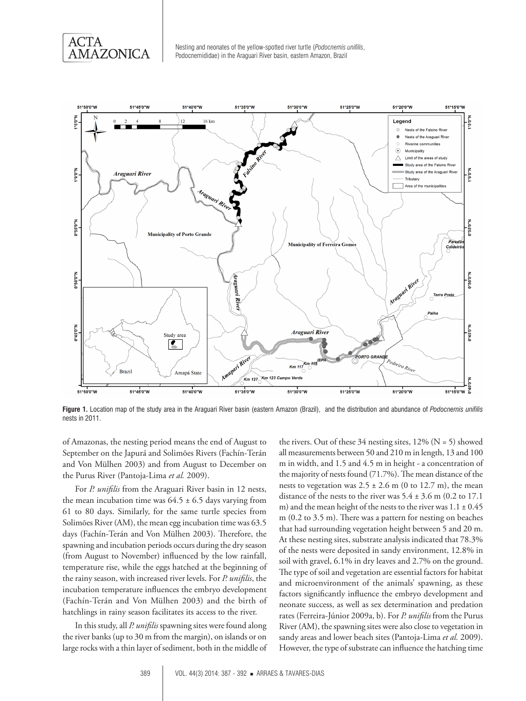

Nesting and neonates of the yellow-spotted river turtle (*Podocnemis unifilis*, Podocnemididae) in the Araguari River basin, eastern Amazon, Brazil



**Figure 1.** Location map of the study area in the Araguari River basin (eastern Amazon (Brazil), and the distribution and abundance of *Podocnemis unifilis*  nests in 2011.

of Amazonas, the nesting period means the end of August to September on the Japurá and Solimões Rivers (Fachín-Terán and Von Mülhen 2003) and from August to December on the Purus River (Pantoja-Lima *et al.* 2009).

For *P. unifilis* from the Araguari River basin in 12 nests, the mean incubation time was  $64.5 \pm 6.5$  days varying from 61 to 80 days. Similarly, for the same turtle species from Solimões River (AM), the mean egg incubation time was 63.5 days (Fachín-Terán and Von Mülhen 2003). Therefore, the spawning and incubation periods occurs during the dry season (from August to November) influenced by the low rainfall, temperature rise, while the eggs hatched at the beginning of the rainy season, with increased river levels. For *P. unifilis*, the incubation temperature influences the embryo development (Fachín-Terán and Von Mülhen 2003) and the birth of hatchlings in rainy season facilitates its access to the river.

In this study, all *P. unifilis* spawning sites were found along the river banks (up to 30 m from the margin), on islands or on large rocks with a thin layer of sediment, both in the middle of the rivers. Out of these 34 nesting sites,  $12\%$  (N = 5) showed all measurements between 50 and 210 m in length, 13 and 100 m in width, and 1.5 and 4.5 m in height - a concentration of the majority of nests found (71.7%). The mean distance of the nests to vegetation was  $2.5 \pm 2.6$  m (0 to 12.7 m), the mean distance of the nests to the river was  $5.4 \pm 3.6$  m (0.2 to 17.1) m) and the mean height of the nests to the river was  $1.1 \pm 0.45$ m (0.2 to 3.5 m). There was a pattern for nesting on beaches that had surrounding vegetation height between 5 and 20 m. At these nesting sites, substrate analysis indicated that 78.3% of the nests were deposited in sandy environment, 12.8% in soil with gravel, 6.1% in dry leaves and 2.7% on the ground. The type of soil and vegetation are essential factors for habitat and microenvironment of the animals' spawning, as these factors significantly influence the embryo development and neonate success, as well as sex determination and predation rates (Ferreira-Júnior 2009a, b). For *P. unifilis* from the Purus River (AM), the spawning sites were also close to vegetation in sandy areas and lower beach sites (Pantoja-Lima *et al.* 2009). However, the type of substrate can influence the hatching time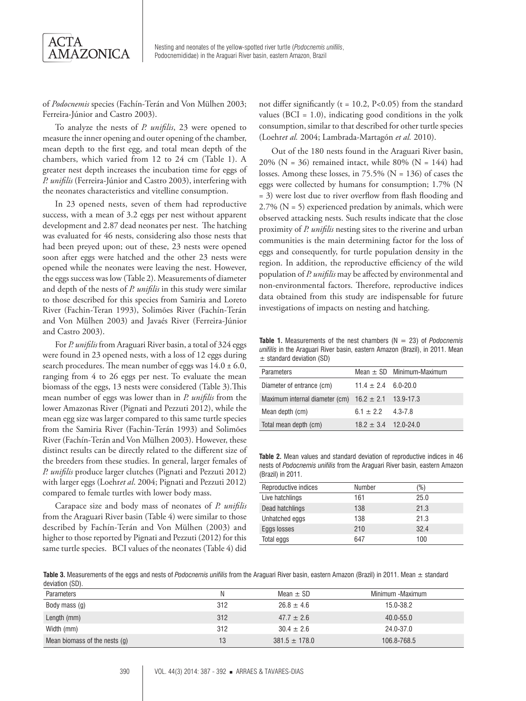

Nesting and neonates of the yellow-spotted river turtle (*Podocnemis unifilis*, Podocnemididae) in the Araguari River basin, eastern Amazon, Brazil

of *Podocnemis* species (Fachín-Terán and Von Mülhen 2003; Ferreira-Júnior and Castro 2003).

To analyze the nests of *P. unifilis*, 23 were opened to measure the inner opening and outer opening of the chamber, mean depth to the first egg, and total mean depth of the chambers, which varied from 12 to 24 cm (Table 1). A greater nest depth increases the incubation time for eggs of *P. unifilis* (Ferreira-Júnior and Castro 2003), interfering with the neonates characteristics and vitelline consumption.

In 23 opened nests, seven of them had reproductive success, with a mean of 3.2 eggs per nest without apparent development and 2.87 dead neonates per nest. The hatching was evaluated for 46 nests, considering also those nests that had been preyed upon; out of these, 23 nests were opened soon after eggs were hatched and the other 23 nests were opened while the neonates were leaving the nest. However, the eggs success was low (Table 2). Measurements of diameter and depth of the nests of *P. unifilis* in this study were similar to those described for this species from Samiria and Loreto River (Fachin-Teran 1993), Solimões River (Fachín-Terán and Von Mülhen 2003) and Javaés River (Ferreira-Júnior and Castro 2003).

For *P. unifilis* from Araguari River basin, a total of 324 eggs were found in 23 opened nests, with a loss of 12 eggs during search procedures. The mean number of eggs was  $14.0 \pm 6.0$ , ranging from 4 to 26 eggs per nest. To evaluate the mean biomass of the eggs, 13 nests were considered (Table 3).This mean number of eggs was lower than in *P. unifilis* from the lower Amazonas River (Pignati and Pezzuti 2012), while the mean egg size was larger compared to this same turtle species from the Samiria River (Fachin-Terán 1993) and Solimões River (Fachín-Terán and Von Mülhen 2003). However, these distinct results can be directly related to the different size of the breeders from these studies. In general, larger females of *P. unifilis* produce larger clutches (Pignati and Pezzuti 2012) with larger eggs (Loehr*et al*. 2004; Pignati and Pezzuti 2012) compared to female turtles with lower body mass.

Carapace size and body mass of neonates of *P. unifilis* from the Araguari River basin (Table 4) were similar to those described by Fachín-Terán and Von Mülhen (2003) and higher to those reported by Pignati and Pezzuti (2012) for this same turtle species. BCI values of the neonates (Table 4) did

not differ significantly ( $t = 10.2$ , P<0.05) from the standard values ( $BCI = 1.0$ ), indicating good conditions in the yolk consumption, similar to that described for other turtle species (Loehr*et al.* 2004; Lambrada-Martagón *et al.* 2010).

Out of the 180 nests found in the Araguari River basin, 20% (N = 36) remained intact, while 80% (N = 144) had losses. Among these losses, in 75.5% (N = 136) of cases the eggs were collected by humans for consumption; 1.7% (N = 3) were lost due to river overflow from flash flooding and  $2.7\%$  (N = 5) experienced predation by animals, which were observed attacking nests. Such results indicate that the close proximity of *P. unifilis* nesting sites to the riverine and urban communities is the main determining factor for the loss of eggs and consequently, for turtle population density in the region. In addition, the reproductive efficiency of the wild population of *P. unifilis* may be affected by environmental and non-environmental factors. Therefore, reproductive indices data obtained from this study are indispensable for future investigations of impacts on nesting and hatching.

**Table 1.** Measurements of the nest chambers (N = 23) of *Podocnemis unifilis* in the Araguari River basin, eastern Amazon (Brazil), in 2011. Mean  $±$  standard deviation (SD)

| <b>Parameters</b>                                       |                         | Mean $\pm$ SD Minimum-Maximum |
|---------------------------------------------------------|-------------------------|-------------------------------|
| Diameter of entrance (cm)                               | $11.4 \pm 2.4$ 6.0-20.0 |                               |
| Maximum internal diameter (cm) $16.2 \pm 2.1$ 13.9-17.3 |                         |                               |
| Mean depth (cm)                                         | $6.1 \pm 2.2$ 4.3-7.8   |                               |
| Total mean depth (cm)                                   | $18.2 + 3.4$ 12.0-24.0  |                               |

**Table 2.** Mean values and standard deviation of reproductive indices in 46 nests of *Podocnemis unifilis* from the Araguari River basin, eastern Amazon (Brazil) in 2011.

| Reproductive indices | Number | (%)  |
|----------------------|--------|------|
| Live hatchlings      | 161    | 25.0 |
| Dead hatchlings      | 138    | 21.3 |
| Unhatched eggs       | 138    | 21.3 |
| Eggs losses          | 210    | 32.4 |
| Total eggs           | 647    | 100  |

**Table 3.** Measurements of the eggs and nests of *Podocnemis unifilis* from the Araguari River basin, eastern Amazon (Brazil) in 2011. Mean ± standard deviation (SD).

| <b>Parameters</b>             | N   | Mean $\pm$ SD     | Minimum - Maximum |
|-------------------------------|-----|-------------------|-------------------|
| Body mass (g)                 | 312 | $26.8 \pm 4.6$    | 15.0-38.2         |
| Length (mm)                   | 312 | $47.7 \pm 2.6$    | $40.0 - 55.0$     |
| Width (mm)                    | 312 | $30.4 \pm 2.6$    | 24.0-37.0         |
| Mean biomass of the nests (g) | 13  | $381.5 \pm 178.0$ | 106.8-768.5       |